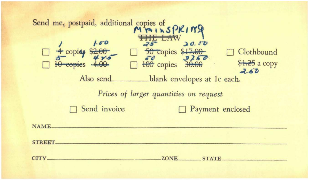| Send me, postpaid, additional copies of SPKING<br><b>THE LAW</b><br>1.00<br>20.00<br>$25 -$<br>□ 4 copicy \$2.00<br>□ 100 copies 4.00<br>□ 100 copies 30.00<br>Clothbound<br>\$1.25 a copy<br>2.60<br>Also send<br>blank envelopes at Ic each.<br>Prices of larger quantities on request<br>Send invoice<br>Payment enclosed |
|------------------------------------------------------------------------------------------------------------------------------------------------------------------------------------------------------------------------------------------------------------------------------------------------------------------------------|
| NAME.<br><b>STREET.</b><br>CITY_<br>ZONE.<br>STATE                                                                                                                                                                                                                                                                           |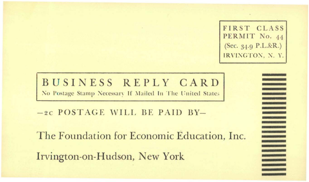FIRST CLASS PERMIT No. 44 (Sec. 34.9 P.L.&R.) IRVINGTON, N. Y.

BUSINESS REPLY CARD No Postage Stamp Necessary If Mailed In The United States

-2C POSTAGE WILL BE PAID BY-

The Foundation for Economic Education, Inc. Irvington-on-Hudson, New York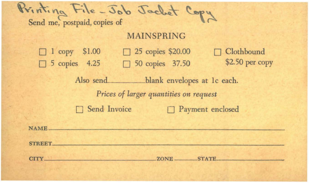$-300$ Send me, postpaid, copies of

## MAINSPRING

|  | $\Box$ 1 copy \$1.00 | $\Box$ 25 copies \$20.00 | $\Box$ Clothbound |
|--|----------------------|--------------------------|-------------------|
|  | $\Box$ 5 copies 4.25 | $\Box$ 50 copies 37.50   | \$2.50 per copy   |

Also send\_\_\_\_\_\_\_\_\_\_\_blank envelopes at 1c each. *Prices of larger quantities on request*  **D** Send Invoice **D** Payment enclosed

**NAME** 

STREET-------------------------------------------------------------

CITY ZONE------STATE'-----------------